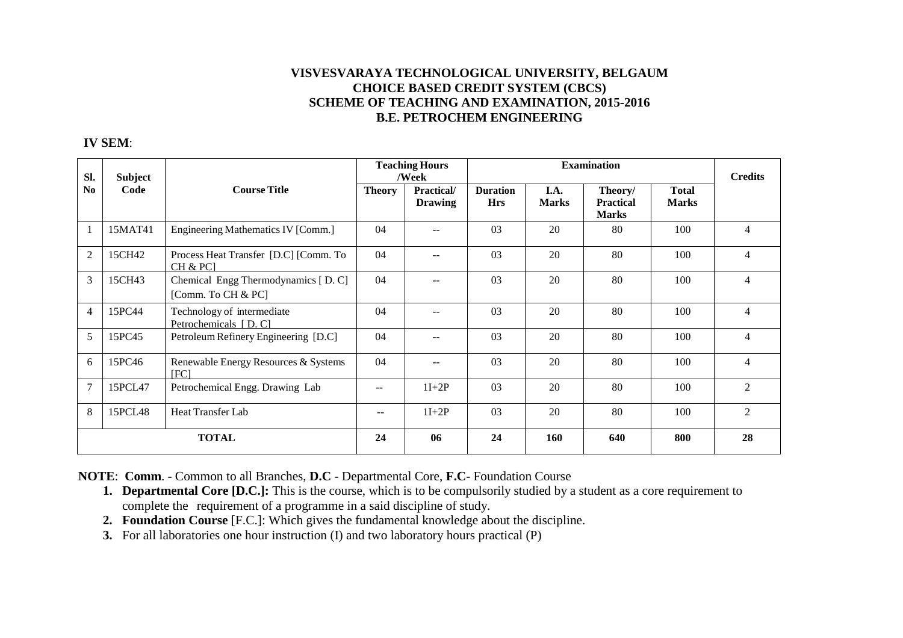## **VISVESVARAYA TECHNOLOGICAL UNIVERSITY, BELGAUM CHOICE BASED CREDIT SYSTEM (CBCS) SCHEME OF TEACHING AND EXAMINATION, 2015-2016B.E. PETROCHEM ENGINEERING**

## **IV SEM**:

| Sl.            | Subject |                                                          | <b>Teaching Hours</b><br>/Week |                              | <b>Examination</b>            |                      |                                             |                              | <b>Credits</b> |
|----------------|---------|----------------------------------------------------------|--------------------------------|------------------------------|-------------------------------|----------------------|---------------------------------------------|------------------------------|----------------|
| N <sub>0</sub> | Code    | <b>Course Title</b>                                      | <b>Theory</b>                  | Practical/<br><b>Drawing</b> | <b>Duration</b><br><b>Hrs</b> | I.A.<br><b>Marks</b> | Theory/<br><b>Practical</b><br><b>Marks</b> | <b>Total</b><br><b>Marks</b> |                |
| -1             | 15MAT41 | Engineering Mathematics IV [Comm.]                       | 04                             | $- -$                        | 03                            | 20                   | 80                                          | 100                          | 4              |
| $\overline{2}$ | 15CH42  | Process Heat Transfer [D.C] [Comm. To<br>CH & PC1        | 04                             | $- -$                        | 0 <sub>3</sub>                | 20                   | 80                                          | 100                          | $\overline{4}$ |
| 3              | 15CH43  | Chemical Engg Thermodynamics [D.C]<br>[Comm. To CH & PC] | 04                             | $- -$                        | 03                            | 20                   | 80                                          | 100                          | $\overline{4}$ |
| 4              | 15PC44  | Technology of intermediate<br>Petrochemicals [D.C]       | 04                             | $- -$                        | 0 <sub>3</sub>                | 20                   | 80                                          | 100                          | $\overline{4}$ |
| 5              | 15PC45  | Petroleum Refinery Engineering [D.C]                     | 04                             | $- -$                        | 03                            | 20                   | 80                                          | 100                          | 4              |
| 6              | 15PC46  | Renewable Energy Resources & Systems<br>[FC]             | 04                             | $- -$                        | 03                            | 20                   | 80                                          | 100                          | 4              |
| $\overline{7}$ | 15PCL47 | Petrochemical Engg. Drawing Lab                          | --                             | $1I+2P$                      | 03                            | 20                   | 80                                          | 100                          | $\overline{2}$ |
| 8              | 15PCL48 | Heat Transfer Lab                                        | --                             | $1I+2P$                      | 0 <sub>3</sub>                | 20                   | 80                                          | 100                          | 2              |
| <b>TOTAL</b>   |         |                                                          | 24                             | 06                           | 24                            | <b>160</b>           | 640                                         | 800                          | 28             |

**NOTE**: **Comm**. - Common to all Branches, **D.C** - Departmental Core, **F.C**- Foundation Course

- **1. Departmental Core [D.C.]:** This is the course, which is to be compulsorily studied by a student as a core requirement to complete the requirement of a programme in a said discipline of study.
- **2. Foundation Course** [F.C.]: Which gives the fundamental knowledge about the discipline.
- **3.** For all laboratories one hour instruction (I) and two laboratory hours practical (P)